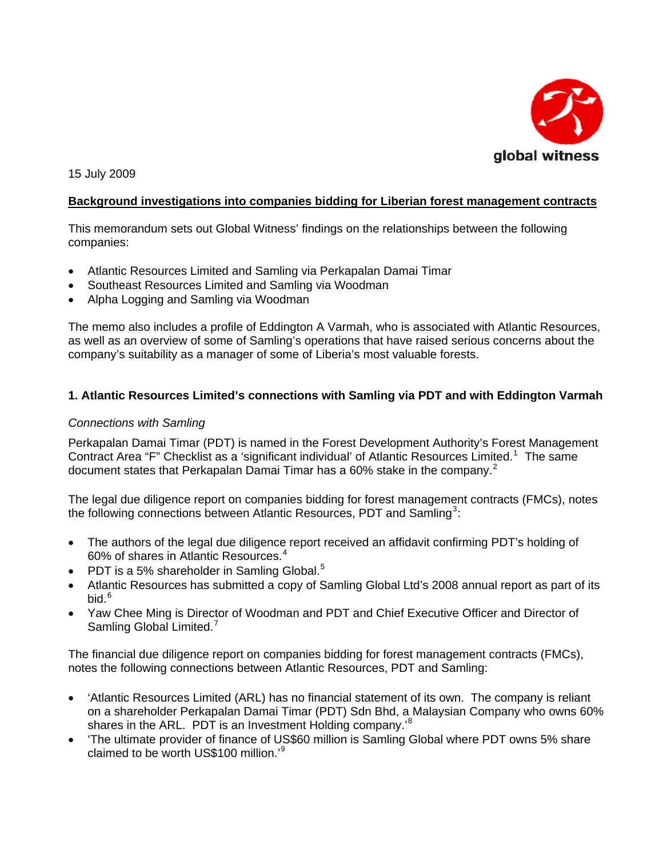

15 July 2009

## **Background investigations into companies bidding for Liberian forest management contracts**

This memorandum sets out Global Witness' findings on the relationships between the following companies:

- Atlantic Resources Limited and Samling via Perkapalan Damai Timar
- Southeast Resources Limited and Samling via Woodman
- Alpha Logging and Samling via Woodman

The memo also includes a profile of Eddington A Varmah, who is associated with Atlantic Resources, as well as an overview of some of Samling's operations that have raised serious concerns about the company's suitability as a manager of some of Liberia's most valuable forests.

#### **1. Atlantic Resources Limited's connections with Samling via PDT and with Eddington Varmah**

#### *Connections with Samling*

Perkapalan Damai Timar (PDT) is named in the Forest Development Authority's Forest Management Contract Area "F" Checklist as a 'significant individual' of Atlantic Resources Limited.<sup>[1](#page-6-0)</sup> The same document states that Perkapalan Damai Timar has a 60% stake in the company.<sup>[2](#page-6-1)</sup>

The legal due diligence report on companies bidding for forest management contracts (FMCs), notes the following connections between Atlantic Resources, PDT and Samling<sup>[3](#page-6-1)</sup>:

- The authors of the legal due diligence report received an affidavit confirming PDT's holding of 60% of shares in Atlantic Resources.[4](#page-6-1)
- PDT is a [5](#page-6-1)% shareholder in Samling Global.<sup>5</sup>
- Atlantic Resources has submitted a copy of Samling Global Ltd's 2008 annual report as part of its bid. $6$
- Yaw Chee Ming is Director of Woodman and PDT and Chief Executive Officer and Director of Samling Global Limited.<sup>[7](#page-6-1)</sup>

The financial due diligence report on companies bidding for forest management contracts (FMCs), notes the following connections between Atlantic Resources, PDT and Samling:

- 'Atlantic Resources Limited (ARL) has no financial statement of its own. The company is reliant on a shareholder Perkapalan Damai Timar (PDT) Sdn Bhd, a Malaysian Company who owns 60% shares in the ARL. PDT is an Investment Holding company.<sup>[8](#page-6-1)</sup>
- 'The ultimate provider of finance of US\$60 million is Samling Global where PDT owns 5% share claimed to be worth US\$100 million.'<sup>[9](#page-6-1)</sup>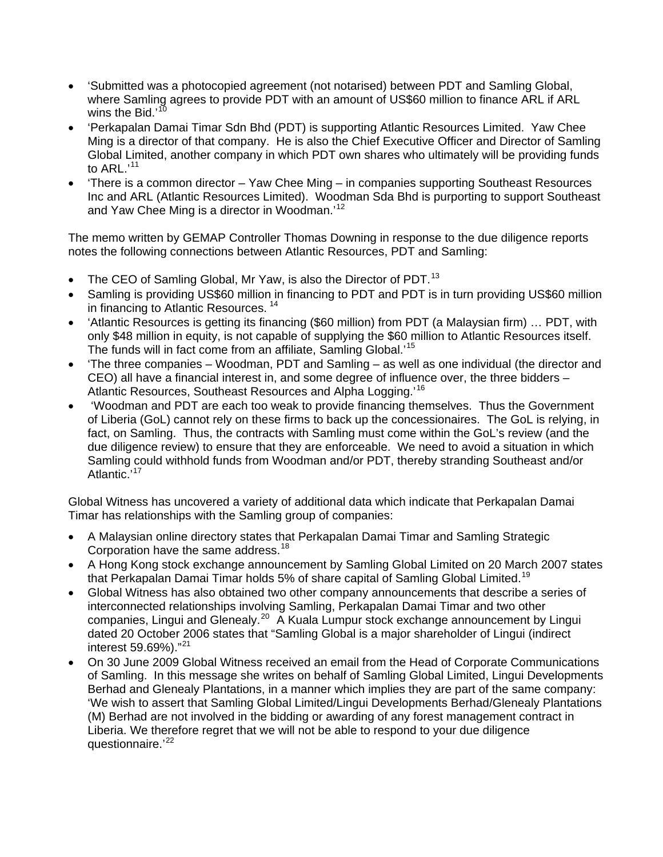- 'Submitted was a photocopied agreement (not notarised) between PDT and Samling Global, where Samling agrees to provide PDT with an amount of US\$60 million to finance ARL if ARL wins the Bid.'<sup>[10](#page-6-1)</sup>
- 'Perkapalan Damai Timar Sdn Bhd (PDT) is supporting Atlantic Resources Limited. Yaw Chee Ming is a director of that company. He is also the Chief Executive Officer and Director of Samling Global Limited, another company in which PDT own shares who ultimately will be providing funds to  $ARL$ <sup>[11](#page-6-1)</sup>
- 'There is a common director Yaw Chee Ming in companies supporting Southeast Resources Inc and ARL (Atlantic Resources Limited). Woodman Sda Bhd is purporting to support Southeast and Yaw Chee Ming is a director in Woodman.'[12](#page-6-1)

The memo written by GEMAP Controller Thomas Downing in response to the due diligence reports notes the following connections between Atlantic Resources, PDT and Samling:

- The CEO of Samling Global, Mr Yaw, is also the Director of PDT.<sup>[13](#page-6-1)</sup>
- Samling is providing US\$60 million in financing to PDT and PDT is in turn providing US\$60 million in financing to Atlantic Resources. [14](#page-6-1)
- 'Atlantic Resources is getting its financing (\$60 million) from PDT (a Malaysian firm) … PDT, with only \$48 million in equity, is not capable of supplying the \$60 million to Atlantic Resources itself. The funds will in fact come from an affiliate, Samling Global.'[15](#page-6-1)
- 'The three companies Woodman, PDT and Samling as well as one individual (the director and CEO) all have a financial interest in, and some degree of influence over, the three bidders – Atlantic Resources, Southeast Resources and Alpha Logging.'[16](#page-6-1)
- 'Woodman and PDT are each too weak to provide financing themselves. Thus the Government of Liberia (GoL) cannot rely on these firms to back up the concessionaires. The GoL is relying, in fact, on Samling. Thus, the contracts with Samling must come within the GoL's review (and the due diligence review) to ensure that they are enforceable. We need to avoid a situation in which Samling could withhold funds from Woodman and/or PDT, thereby stranding Southeast and/or Atlantic.<sup>'[17](#page-6-1)</sup>

Global Witness has uncovered a variety of additional data which indicate that Perkapalan Damai Timar has relationships with the Samling group of companies:

- A Malaysian online directory states that Perkapalan Damai Timar and Samling Strategic Corporation have the same address.<sup>[18](#page-6-1)</sup>
- A Hong Kong stock exchange announcement by Samling Global Limited on 20 March 2007 states that Perkapalan Damai Timar holds 5% of share capital of Samling Global Limited.<sup>[19](#page-6-1)</sup>
- Global Witness has also obtained two other company announcements that describe a series of interconnected relationships involving Samling, Perkapalan Damai Timar and two other companies, Lingui and Glenealy.<sup>[20](#page-6-1)</sup> A Kuala Lumpur stock exchange announcement by Lingui dated 20 October 2006 states that "Samling Global is a major shareholder of Lingui (indirect interest 59.69%)."[21](#page-6-1)
- On 30 June 2009 Global Witness received an email from the Head of Corporate Communications of Samling. In this message she writes on behalf of Samling Global Limited, Lingui Developments Berhad and Glenealy Plantations, in a manner which implies they are part of the same company: 'We wish to assert that Samling Global Limited/Lingui Developments Berhad/Glenealy Plantations (M) Berhad are not involved in the bidding or awarding of any forest management contract in Liberia. We therefore regret that we will not be able to respond to your due diligence questionnaire.'<sup>[22](#page-6-1)</sup>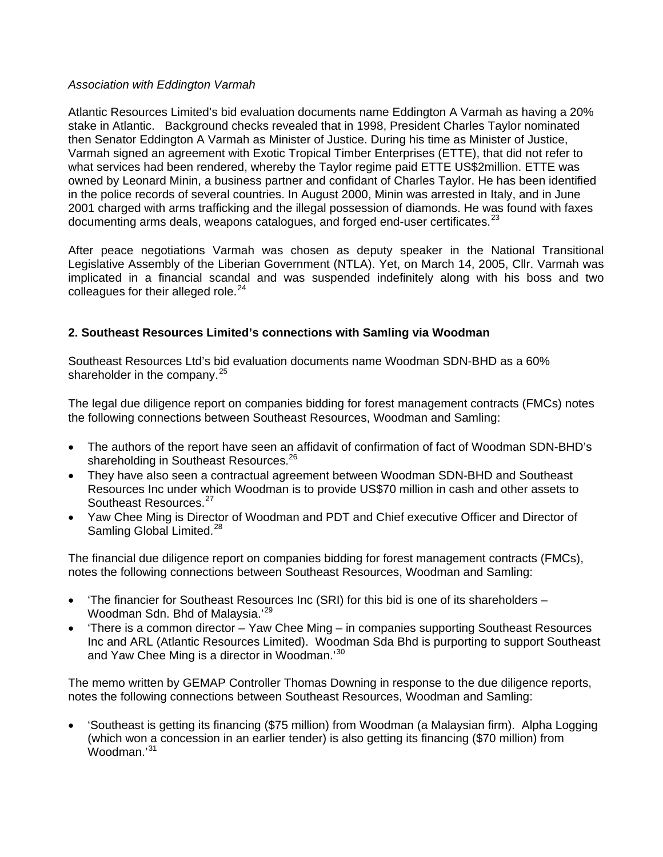#### *Association with Eddington Varmah*

Atlantic Resources Limited's bid evaluation documents name Eddington A Varmah as having a 20% stake in Atlantic. Background checks revealed that in 1998, President Charles Taylor nominated then Senator Eddington A Varmah as Minister of Justice. During his time as Minister of Justice, Varmah signed an agreement with Exotic Tropical Timber Enterprises (ETTE), that did not refer to what services had been rendered, whereby the Taylor regime paid ETTE US\$2million. ETTE was owned by Leonard Minin, a business partner and confidant of Charles Taylor. He has been identified in the police records of several countries. In August 2000, Minin was arrested in Italy, and in June 2001 charged with arms trafficking and the illegal possession of diamonds. He was found with faxes documenting arms deals, weapons catalogues, and forged end-user certificates. $^{23}$  $^{23}$  $^{23}$ 

After peace negotiations Varmah was chosen as deputy speaker in the National Transitional Legislative Assembly of the Liberian Government (NTLA). Yet, on March 14, 2005, Cllr. Varmah was implicated in a financial scandal and was suspended indefinitely along with his boss and two colleagues for their alleged role. $24$ 

## **2. Southeast Resources Limited's connections with Samling via Woodman**

Southeast Resources Ltd's bid evaluation documents name Woodman SDN-BHD as a 60% shareholder in the company. $25$ 

The legal due diligence report on companies bidding for forest management contracts (FMCs) notes the following connections between Southeast Resources, Woodman and Samling:

- The authors of the report have seen an affidavit of confirmation of fact of Woodman SDN-BHD's shareholding in Southeast Resources.<sup>[26](#page-6-1)</sup>
- They have also seen a contractual agreement between Woodman SDN-BHD and Southeast Resources Inc under which Woodman is to provide US\$70 million in cash and other assets to Southeast Resources.<sup>[27](#page-6-1)</sup>
- Yaw Chee Ming is Director of Woodman and PDT and Chief executive Officer and Director of Samling Global Limited.<sup>[28](#page-6-1)</sup>

The financial due diligence report on companies bidding for forest management contracts (FMCs), notes the following connections between Southeast Resources, Woodman and Samling:

- 'The financier for Southeast Resources Inc (SRI) for this bid is one of its shareholders Woodman Sdn. Bhd of Malaysia.'[29](#page-6-1)
- 'There is a common director Yaw Chee Ming in companies supporting Southeast Resources Inc and ARL (Atlantic Resources Limited). Woodman Sda Bhd is purporting to support Southeast and Yaw Chee Ming is a director in Woodman.'[30](#page-6-1)

The memo written by GEMAP Controller Thomas Downing in response to the due diligence reports, notes the following connections between Southeast Resources, Woodman and Samling:

• 'Southeast is getting its financing (\$75 million) from Woodman (a Malaysian firm). Alpha Logging (which won a concession in an earlier tender) is also getting its financing (\$70 million) from Woodman.'[31](#page-6-1)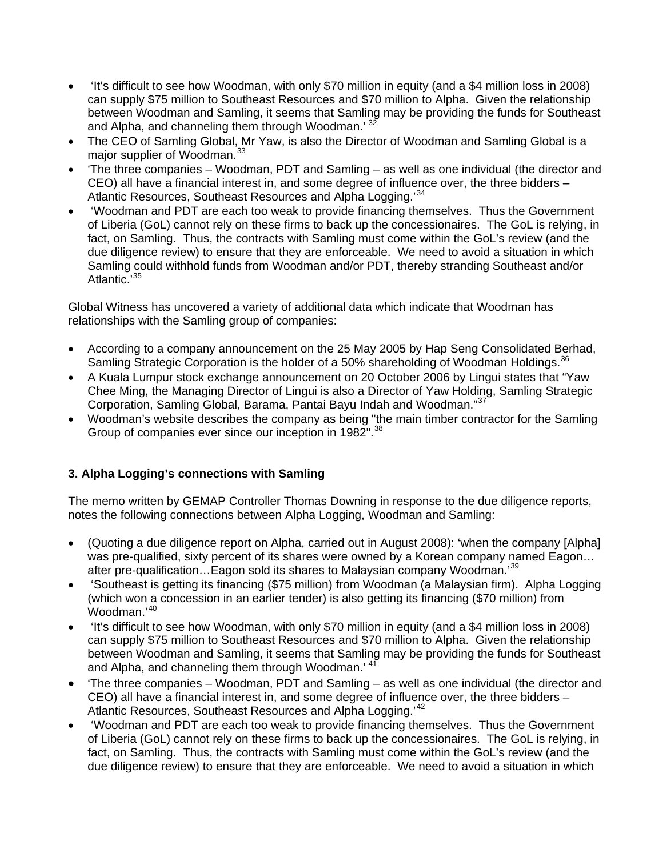- 'It's difficult to see how Woodman, with only \$70 million in equity (and a \$4 million loss in 2008) can supply \$75 million to Southeast Resources and \$70 million to Alpha. Given the relationship between Woodman and Samling, it seems that Samling may be providing the funds for Southeast and Alpha, and channeling them through Woodman.<sup>[32](#page-6-1)</sup>
- The CEO of Samling Global, Mr Yaw, is also the Director of Woodman and Samling Global is a major supplier of Woodman.<sup>[33](#page-6-1)</sup>
- 'The three companies Woodman, PDT and Samling as well as one individual (the director and CEO) all have a financial interest in, and some degree of influence over, the three bidders – Atlantic Resources, Southeast Resources and Alpha Logging.<sup>[34](#page-6-1)</sup>
- 'Woodman and PDT are each too weak to provide financing themselves. Thus the Government of Liberia (GoL) cannot rely on these firms to back up the concessionaires. The GoL is relying, in fact, on Samling. Thus, the contracts with Samling must come within the GoL's review (and the due diligence review) to ensure that they are enforceable. We need to avoid a situation in which Samling could withhold funds from Woodman and/or PDT, thereby stranding Southeast and/or Atlantic.<sup>'[35](#page-6-1)</sup>

Global Witness has uncovered a variety of additional data which indicate that Woodman has relationships with the Samling group of companies:

- According to a company announcement on the 25 May 2005 by Hap Seng Consolidated Berhad, Samling Strategic Corporation is the holder of a 50% shareholding of Woodman Holdings.<sup>[36](#page-6-1)</sup>
- A Kuala Lumpur stock exchange announcement on 20 October 2006 by Lingui states that "Yaw Chee Ming, the Managing Director of Lingui is also a Director of Yaw Holding, Samling Strategic Corporation, Samling Global, Barama, Pantai Bayu Indah and Woodman."[37](#page-6-1)
- Woodman's website describes the company as being "the main timber contractor for the Samling Group of companies ever since our inception in 1982".<sup>[38](#page-6-1)</sup>

## **3. Alpha Logging's connections with Samling**

The memo written by GEMAP Controller Thomas Downing in response to the due diligence reports, notes the following connections between Alpha Logging, Woodman and Samling:

- (Quoting a due diligence report on Alpha, carried out in August 2008): 'when the company [Alpha] was pre-qualified, sixty percent of its shares were owned by a Korean company named Eagon… after pre-qualification...Eagon sold its shares to Malaysian company Woodman.<sup>[39](#page-6-1)</sup>
- 'Southeast is getting its financing (\$75 million) from Woodman (a Malaysian firm). Alpha Logging (which won a concession in an earlier tender) is also getting its financing (\$70 million) from Woodman.'[40](#page-6-1)
- 'It's difficult to see how Woodman, with only \$70 million in equity (and a \$4 million loss in 2008) can supply \$75 million to Southeast Resources and \$70 million to Alpha. Given the relationship between Woodman and Samling, it seems that Samling may be providing the funds for Southeast and Alpha, and channeling them through Woodman.<sup>'[41](#page-6-1)</sup>
- 'The three companies Woodman, PDT and Samling as well as one individual (the director and CEO) all have a financial interest in, and some degree of influence over, the three bidders – Atlantic Resources, Southeast Resources and Alpha Logging.<sup>'[42](#page-6-1)</sup>
- 'Woodman and PDT are each too weak to provide financing themselves. Thus the Government of Liberia (GoL) cannot rely on these firms to back up the concessionaires. The GoL is relying, in fact, on Samling. Thus, the contracts with Samling must come within the GoL's review (and the due diligence review) to ensure that they are enforceable. We need to avoid a situation in which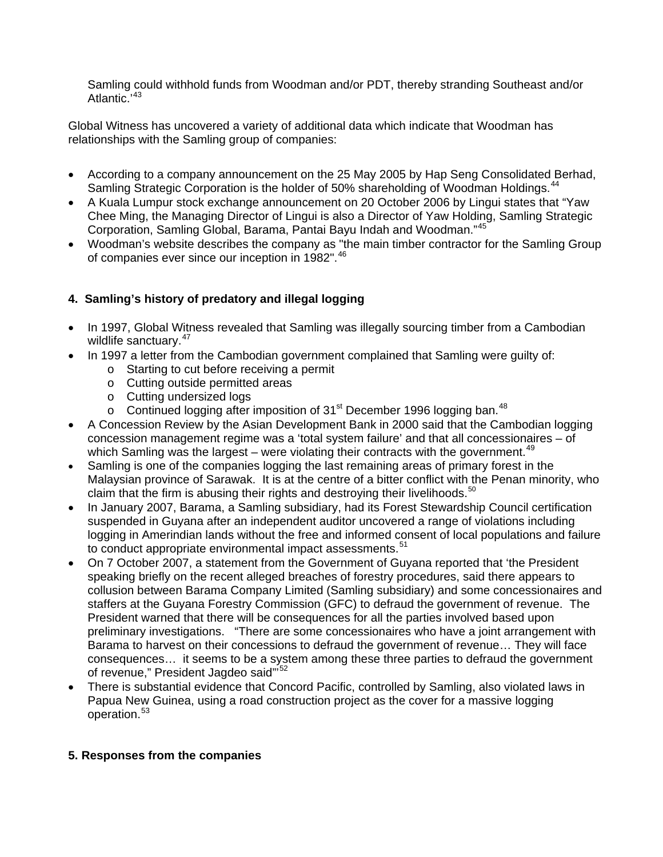Samling could withhold funds from Woodman and/or PDT, thereby stranding Southeast and/or Atlantic.<sup>'[43](#page-6-1)</sup>

Global Witness has uncovered a variety of additional data which indicate that Woodman has relationships with the Samling group of companies:

- According to a company announcement on the 25 May 2005 by Hap Seng Consolidated Berhad, Samling Strategic Corporation is the holder of 50% shareholding of Woodman Holdings.<sup>[44](#page-6-1)</sup>
- A Kuala Lumpur stock exchange announcement on 20 October 2006 by Lingui states that "Yaw Chee Ming, the Managing Director of Lingui is also a Director of Yaw Holding, Samling Strategic Corporation, Samling Global, Barama, Pantai Bayu Indah and Woodman."[45](#page-6-1)
- Woodman's website describes the company as "the main timber contractor for the Samling Group of companies ever since our inception in 1982".<sup>[46](#page-6-1)</sup>

# **4. Samling's history of predatory and illegal logging**

- In 1997, Global Witness revealed that Samling was illegally sourcing timber from a Cambodian wildlife sanctuary.<sup>[47](#page-6-1)</sup>
- In 1997 a letter from the Cambodian government complained that Samling were guilty of:
	- o Starting to cut before receiving a permit
	- o Cutting outside permitted areas
	- o Cutting undersized logs
	- o Continued logging after imposition of  $31<sup>st</sup>$  December 1996 logging ban.<sup>[48](#page-6-1)</sup>
- A Concession Review by the Asian Development Bank in 2000 said that the Cambodian logging concession management regime was a 'total system failure' and that all concessionaires – of which Samling was the largest – were violating their contracts with the government.<sup>[49](#page-6-1)</sup>
- Samling is one of the companies logging the last remaining areas of primary forest in the Malaysian province of Sarawak. It is at the centre of a bitter conflict with the Penan minority, who claim that the firm is abusing their rights and destroying their livelihoods. $50$
- In January 2007, Barama, a Samling subsidiary, had its Forest Stewardship Council certification suspended in Guyana after an independent auditor uncovered a range of violations including logging in Amerindian lands without the free and informed consent of local populations and failure to conduct appropriate environmental impact assessments.<sup>[51](#page-6-1)</sup>
- On 7 October 2007, a statement from the Government of Guyana reported that 'the President speaking briefly on the recent alleged breaches of forestry procedures, said there appears to collusion between Barama Company Limited (Samling subsidiary) and some concessionaires and staffers at the Guyana Forestry Commission (GFC) to defraud the government of revenue. The President warned that there will be consequences for all the parties involved based upon preliminary investigations. "There are some concessionaires who have a joint arrangement with Barama to harvest on their concessions to defraud the government of revenue… They will face consequences… it seems to be a system among these three parties to defraud the government of revenue," President Jagdeo said"<sup>[52](#page-6-1)</sup>
- There is substantial evidence that Concord Pacific, controlled by Samling, also violated laws in Papua New Guinea, using a road construction project as the cover for a massive logging operation.[53](#page-6-1)

## **5. Responses from the companies**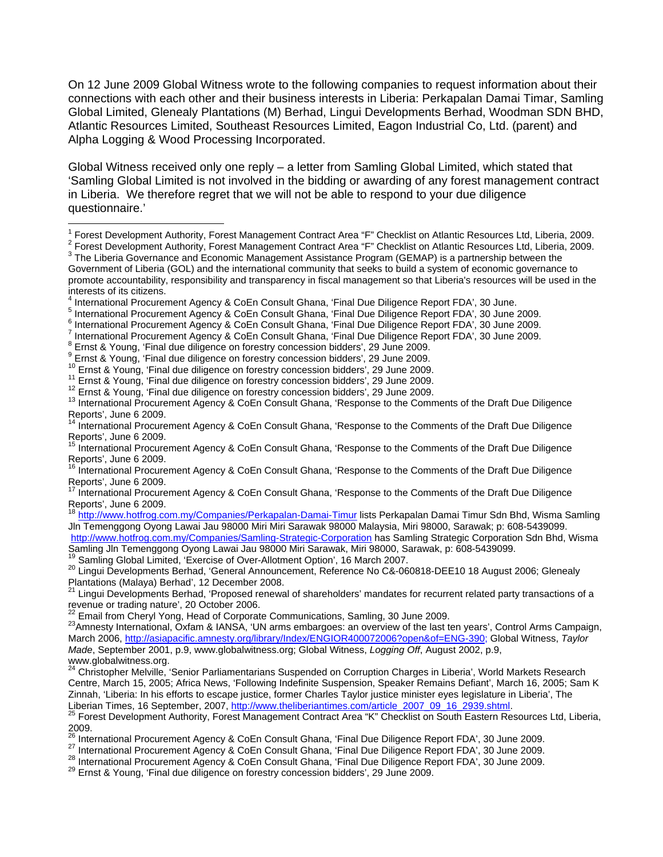On 12 June 2009 Global Witness wrote to the following companies to request information about their connections with each other and their business interests in Liberia: Perkapalan Damai Timar, Samling Global Limited, Glenealy Plantations (M) Berhad, Lingui Developments Berhad, Woodman SDN BHD, Atlantic Resources Limited, Southeast Resources Limited, Eagon Industrial Co, Ltd. (parent) and Alpha Logging & Wood Processing Incorporated.

Global Witness received only one reply – a letter from Samling Global Limited, which stated that 'Samling Global Limited is not involved in the bidding or awarding of any forest management contract in Liberia. We therefore regret that we will not be able to respond to your due diligence questionnaire.'

Forest Development Authority, Forest Management Contract Area "F" Checklist on Atlantic Resources Ltd, Liberia, 2009.

<http://www.hotfrog.com.my/Companies/Samling-Strategic-Corporation>has Samling Strategic Corporation Sdn Bhd, Wisma Samling Jln Temenggong Oyong Lawai Jau 98000 Miri Sarawak, Miri 98000, Sarawak, p: 608-5439099.<br>Samling Jln Temenggong Oyong Lawai Jau 98000 Miri Sarawak, Miri 98000, Sarawak, p: 608-5439099.

20 Lingui Developments Berhad, 'General Announcement, Reference No C&-060818-DEE10 18 August 2006; Glenealy Plantations (Malaya) Berhad', 12 December 2008.

<sup>1&</sup>lt;br><sup>1</sup> Forest Development Authority, Forest Management Contract Area "F" Checklist on Atlantic Resources Ltd, Liberia, 2009.<br><sup>2</sup> Forest Development Authority, Forest Management Contract Area "F" Checklist on Atlantic Beseur

<sup>&</sup>lt;sup>3</sup> The Liberia Governance and Economic Management Assistance Program (GEMAP) is a partnership between the Government of Liberia (GOL) and the international community that seeks to build a system of economic governance to promote accountability, responsibility and transparency in fiscal management so that Liberia's resources will be used in the interests of its citizens.<br><sup>4</sup> International Procurement Agency & CoEn Consult Ghana, 'Final Due Diligence Report FDA', 30 June.

<sup>4</sup> <sup>4</sup> International Procurement Agency & CoEn Consult Ghana, 'Final Due Diligence Report FDA', 30 June.<br>5 International Procurement Agency & CoEn Consult Chana, 'Final Due Diligence Benert FDA', 30 June 1

<sup>&</sup>lt;sup>5</sup> International Procurement Agency & CoEn Consult Ghana, 'Final Due Diligence Report FDA', 30 June 2009.<br><sup>6</sup> International Procurement Agency & CoEn Consult Chana, 'Final Due Diligence Benert EDA', 30 June 2000.

International Procurement Agency & CoEn Consult Ghana, 'Final Due Diligence Report FDA', 30 June 2009.

International Procurement Agency & CoEn Consult Ghana, 'Final Due Diligence Report FDA', 30 June 2009.

**EXAMPLE 2018 INCORDING THE CONCRETE OF STATE OF STATE IN A STATE 2009.** 

<sup>9</sup> Ernst & Young, 'Final due diligence on forestry concession bidders', 29 June 2009.

<sup>&</sup>lt;sup>10</sup> Ernst & Young, 'Final due diligence on forestry concession bidders', 29 June 2009.<br><sup>11</sup> Ernst & Young, 'Final due diligence on forestry concession bidders', 29 June 2009.<br><sup>12</sup> Ernst & Young, 'Final due diligence on fo Reports', June 6 2009.

<sup>&</sup>lt;sup>14</sup> International Procurement Agency & CoEn Consult Ghana, 'Response to the Comments of the Draft Due Diligence Reports', June 6 2009.

<sup>15</sup> International Procurement Agency & CoEn Consult Ghana, 'Response to the Comments of the Draft Due Diligence Reports', June 6 2009.

<sup>16</sup> International Procurement Agency & CoEn Consult Ghana, 'Response to the Comments of the Draft Due Diligence Reports', June 6 2009.

<sup>17</sup> International Procurement Agency & CoEn Consult Ghana, 'Response to the Comments of the Draft Due Diligence Reports', June 6 2009.

<http://www.hotfrog.com.my/Companies/Perkapalan-Damai-Timur>lists Perkapalan Damai Timur Sdn Bhd, Wisma Samling Jln Temenggong Oyong Lawai Jau 98000 Miri Miri Sarawak 98000 Malaysia, Miri 98000, Sarawak; p: 608-5439099.

<sup>&</sup>lt;sup>21</sup> Lingui Developments Berhad, 'Proposed renewal of shareholders' mandates for recurrent related party transactions of a revenue or trading nature', 20 October 2006.<br>
<sup>22</sup> Email from Cheryl Yong, Head of Corporate Communications, Samling, 30 June 2009.

<sup>23</sup> Amnesty International, Oxfam & IANSA, 'UN arms embargoes: an overview of the last ten years', Control Arms Campaign, March 2006, [http://asiapacific.amnesty.org/library/Index/ENGIOR400072006?open&of=ENG-390;](http://asiapacific.amnesty.org/library/Index/ENGIOR400072006?open&of=ENG-390) Global Witness, *Taylor Made*, September 2001, p.9, www.globalwitness.org; Global Witness, *Logging Off*, August 2002, p.9, www.globalwitness.org.

<sup>&</sup>lt;sup>24</sup> Christopher Melville, 'Senior Parliamentarians Suspended on Corruption Charges in Liberia', World Markets Research Centre, March 15, 2005; Africa News, 'Following Indefinite Suspension, Speaker Remains Defiant', March 16, 2005; Sam K Zinnah, 'Liberia: In his efforts to escape justice, former Charles Taylor justice minister eyes legislature in Liberia', The

Liberian Times, 16 September, 2007, [http://www.theliberiantimes.com/article\\_2007\\_09\\_16\\_2939.shtml](http://www.theliberiantimes.com/article_2007_09_16_2939.shtml).<br><sup>25</sup> Forest Development Authority, Forest Management Contract Area "K" Checklist on South Eastern Resources Ltd, Liberia, 2009.<br><sup>26</sup> International Procurement Agency & CoEn Consult Ghana, 'Final Due Diligence Report FDA', 30 June 2009.

<sup>27</sup> International Procurement Agency & CoEn Consult Ghana, 'Final Due Diligence Report FDA', 30 June 2009.<br><sup>28</sup> International Procurement Agency & CoEn Consult Ghana, 'Final Due Diligence Report FDA', 30 June 2009.<br><sup>29</sup> Ern